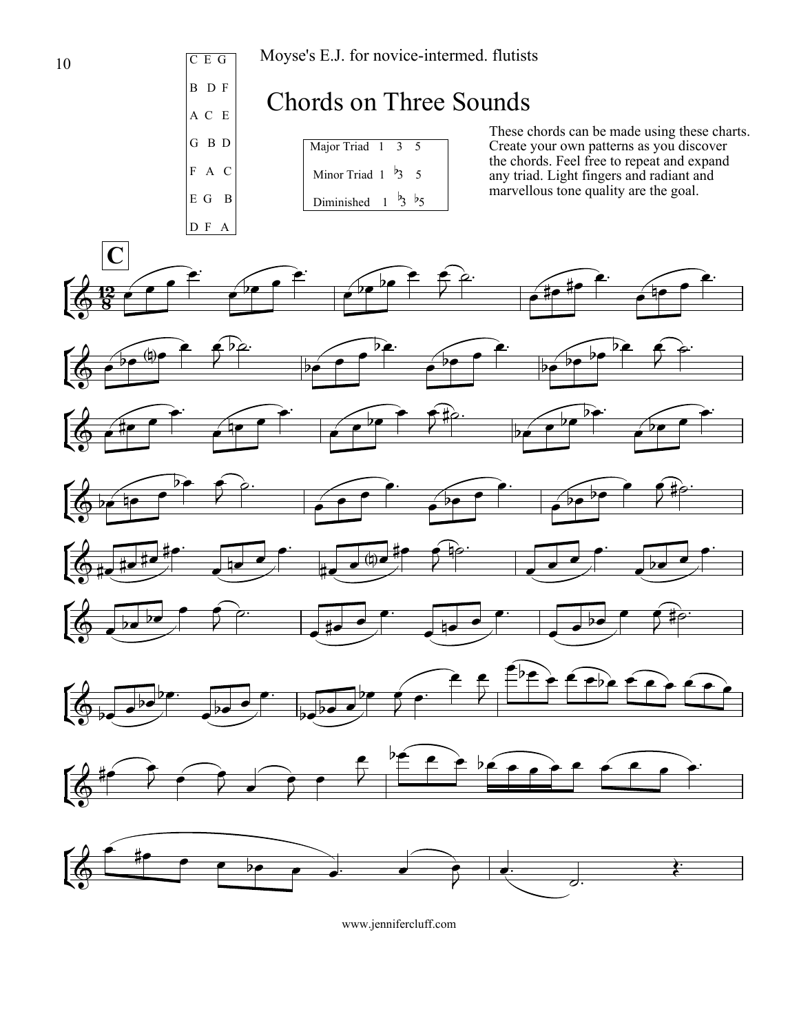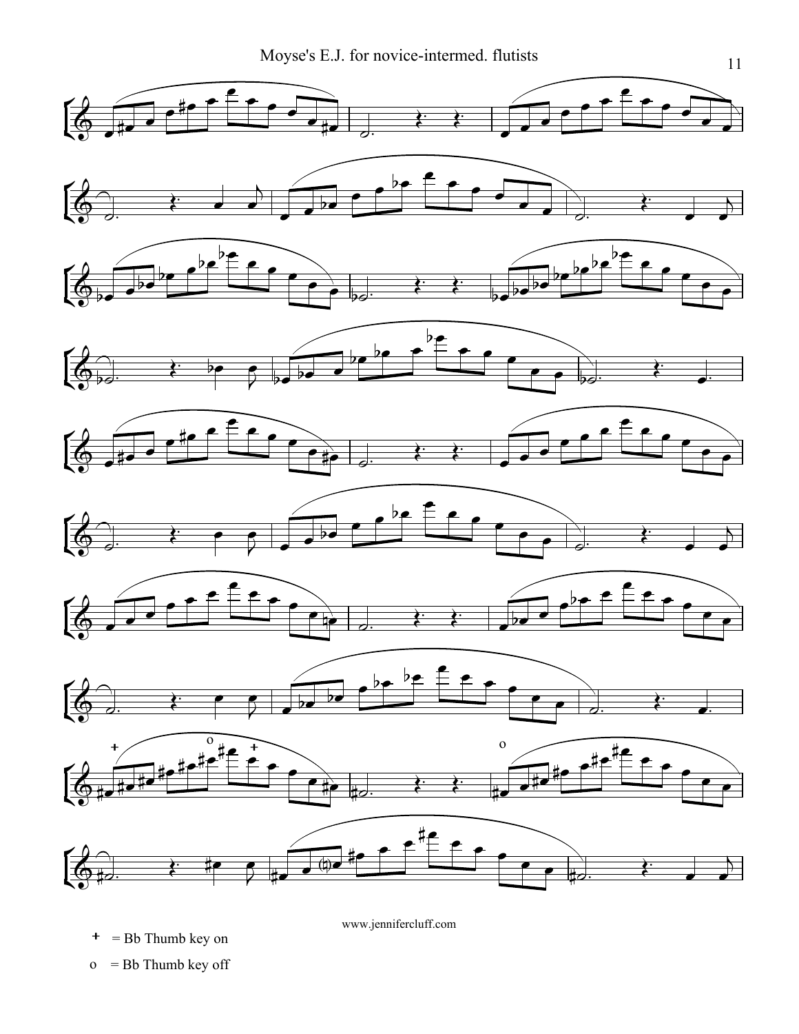

 $+$  = Bb Thumb key on

www.jennifercluff.com

o = Bb Thumb key off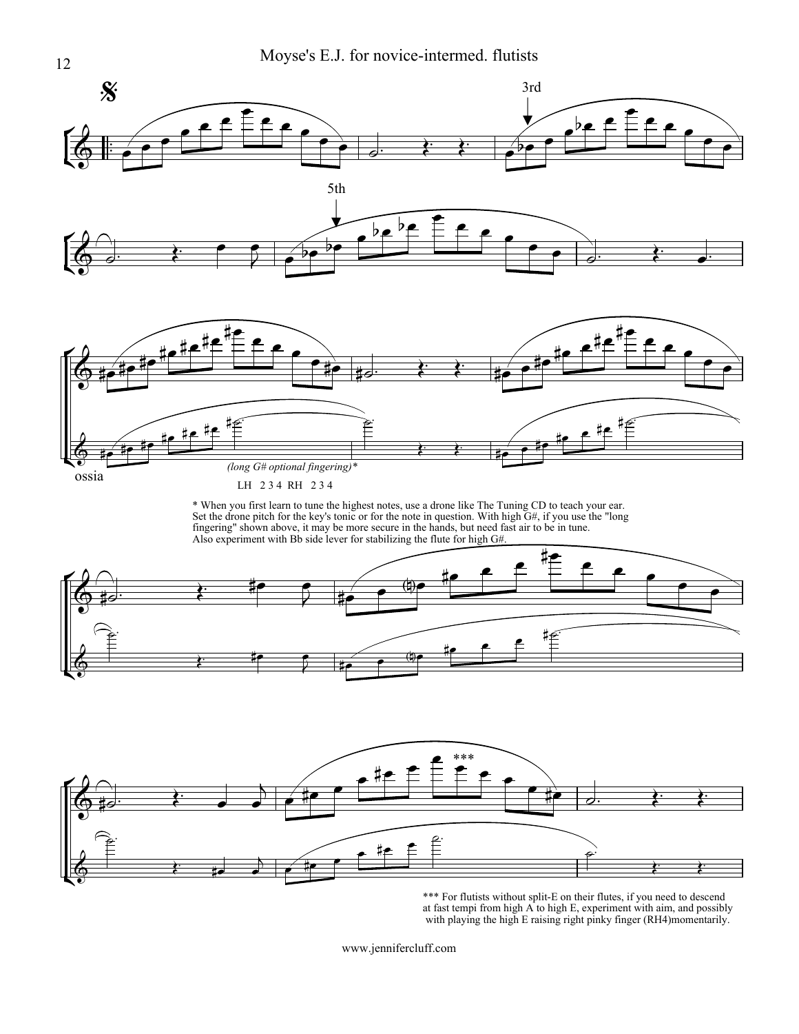

*(long G# optional fingering)\**

LH 2 3 4 RH 2 3 4

\* When you first learn to tune the highest notes, use a drone like The Tuning CD to teach your ear. Set the drone pitch for the key's tonic or for the note in question. With high G#, if you use the "long fingering" shown above, it may be more secure in the hands, but need fast air to be in tune.

 $\leftarrow$ 

 $\overline{\mathbf{P}}$  $\overline{\bullet}$ ie. **#e**  $\overline{\phantom{a}}$ .<br>#<del>ا</del>





\*\*\* For flutists without split-E on their flutes, if you need to descend at fast tempi from high A to high E, experiment with aim, and possibly with playing the high E raising right pinky finger (RH4)momentarily.

www.jennifercluff.com

Į

 $\frac{1}{2}$ 

ossia

.<br>م: ie. <u>#e</u> .<br>#<del>r</del> .<br>#<del>r</del>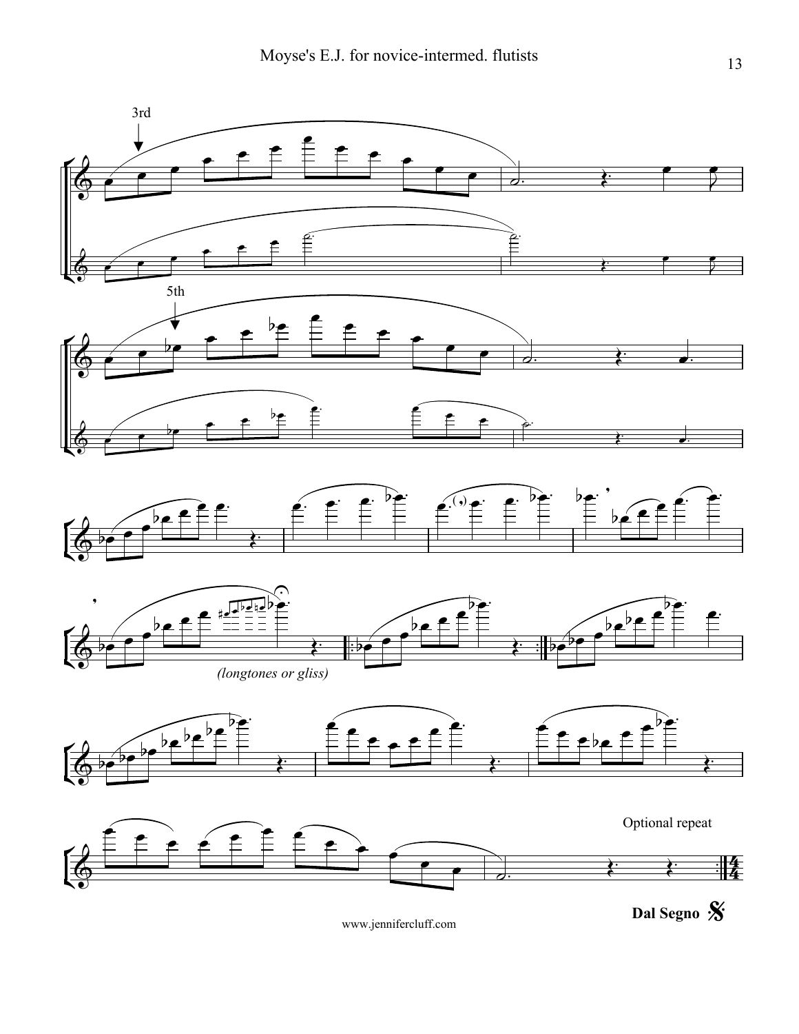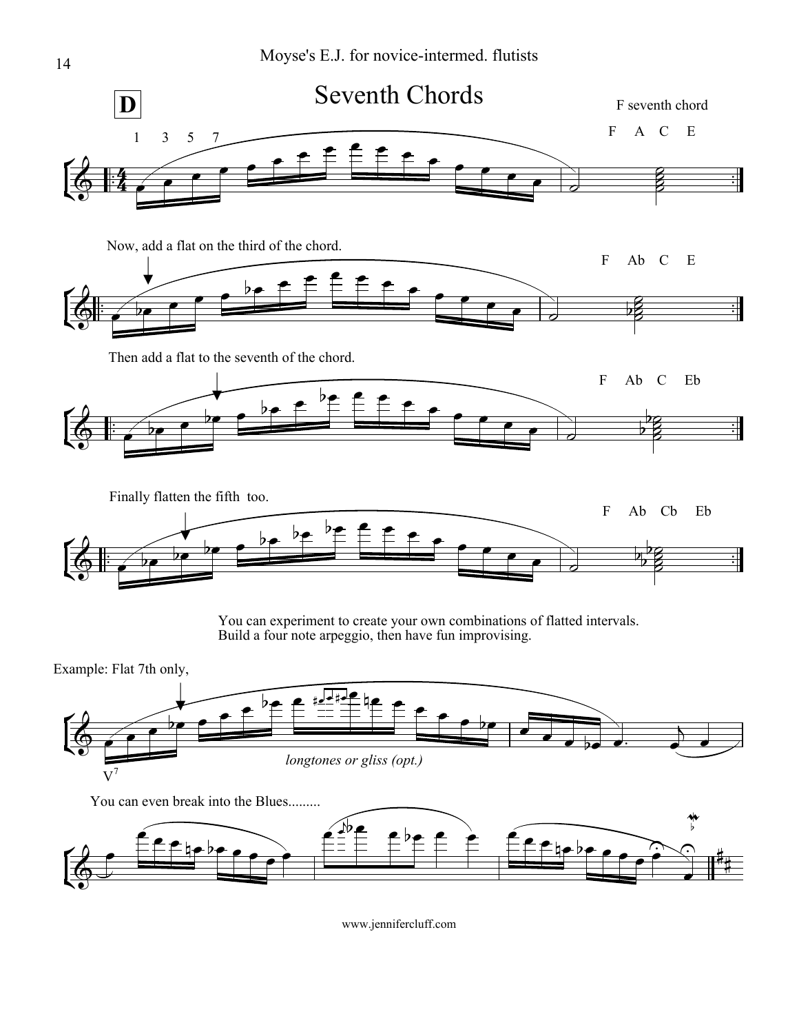



 $\frac{1}{1}$  $\frac{1}{1}$ 

F Ab Cb Eb

 $\frac{8}{5}$  $\frac{1}{2}$  $\frac{1}{2}$  $\overline{p}$ 

Example: Flat 7th only,

 $\frac{1}{1}$  $\overline{\cdot}$ 

 $\overrightarrow{\bullet}$ 

 $\frac{1}{2}$ 

 $\mathsf{r}$ 委  $\overline{\bullet}$ 

Finally flatten the fifth too.

 $\downarrow$ 

 $\rightarrow$ 

 $\flat$ 

be

 $\overline{p}$ 

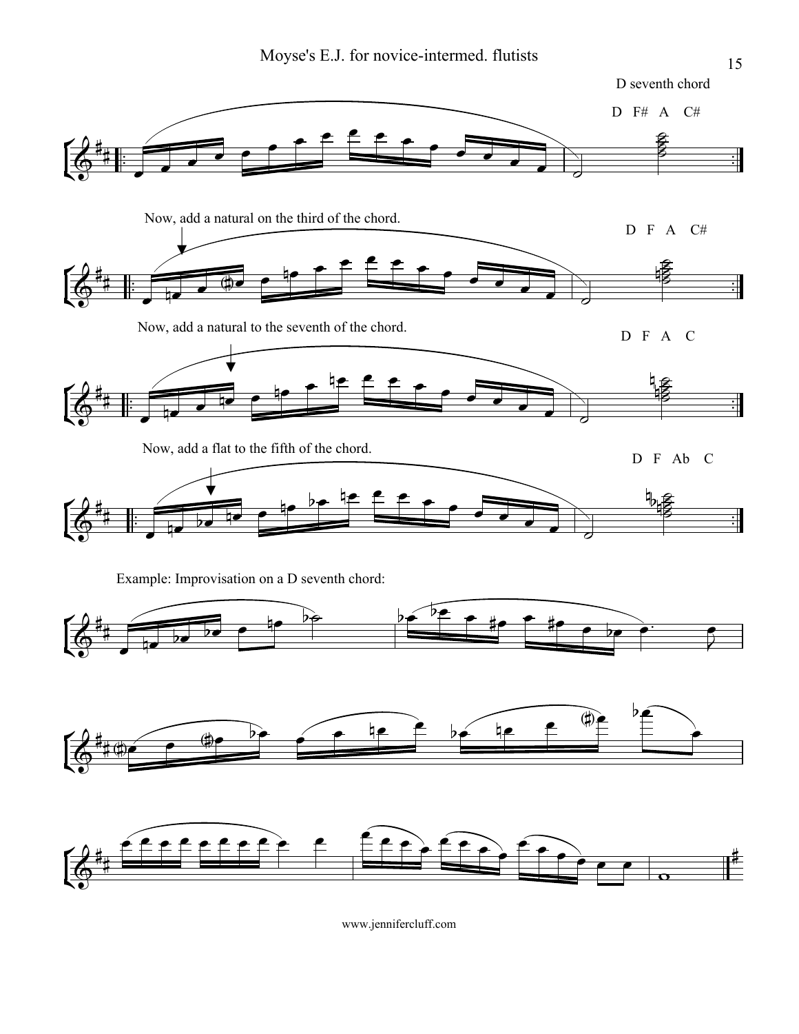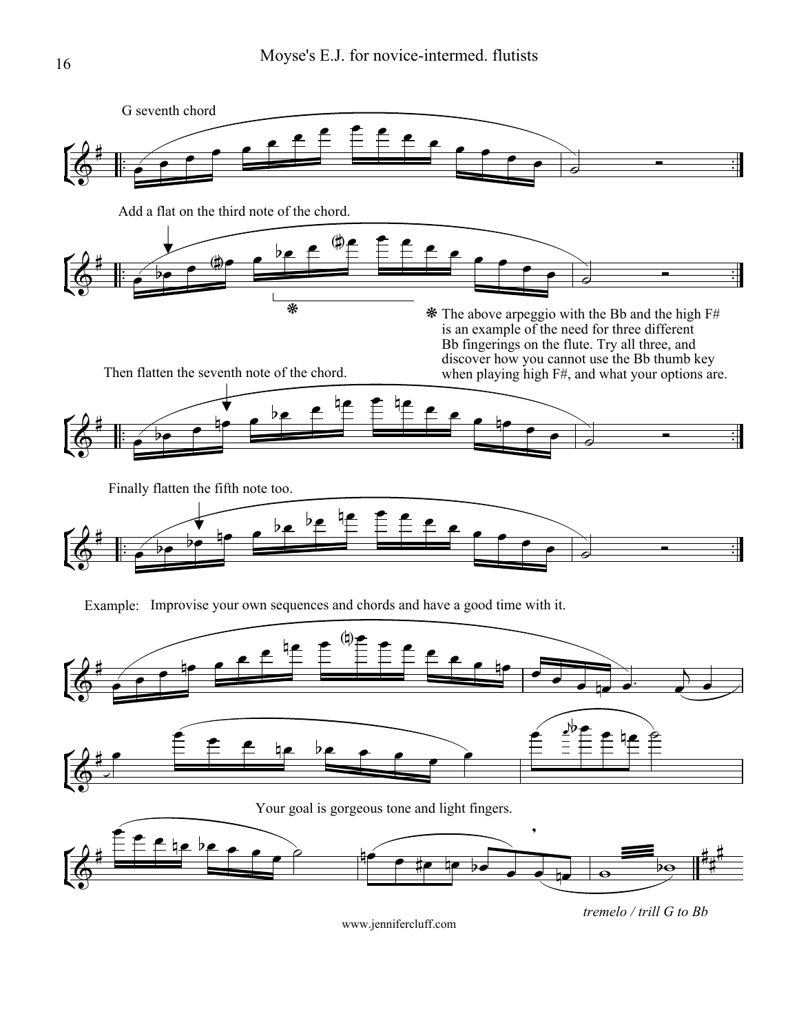

*tremelo / trill G to Bb*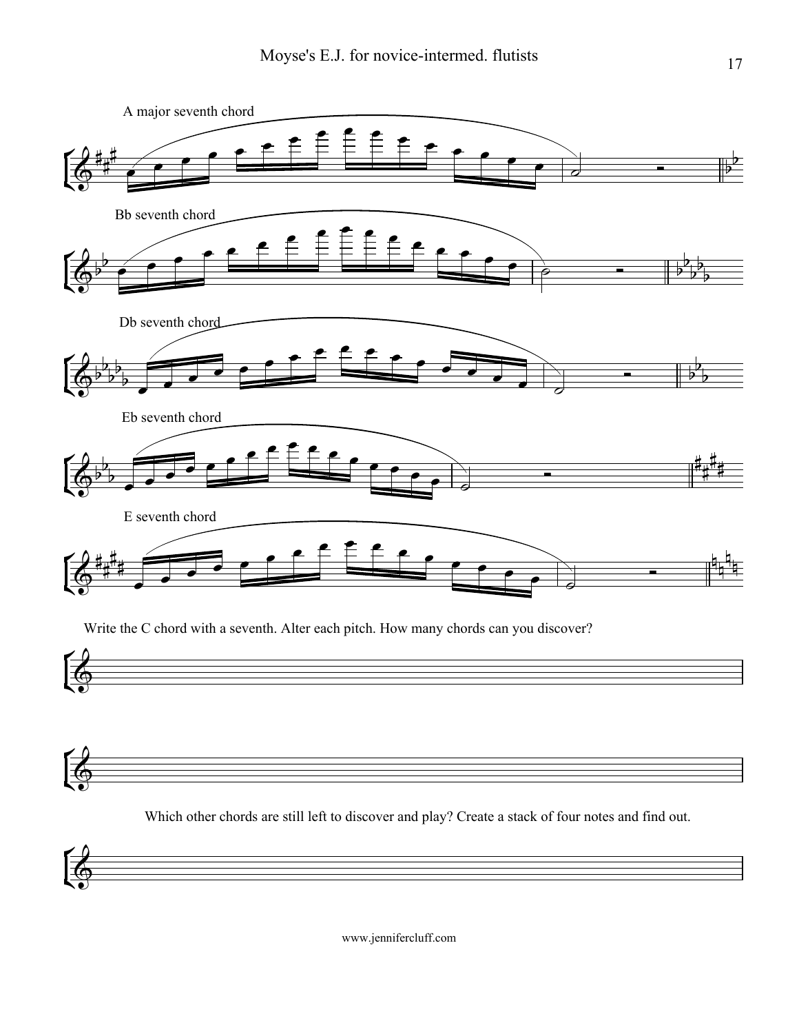

Write the C chord with a seventh. Alter each pitch. How many chords can you discover?





Which other chords are still left to discover and play? Create a stack of four notes and find out.

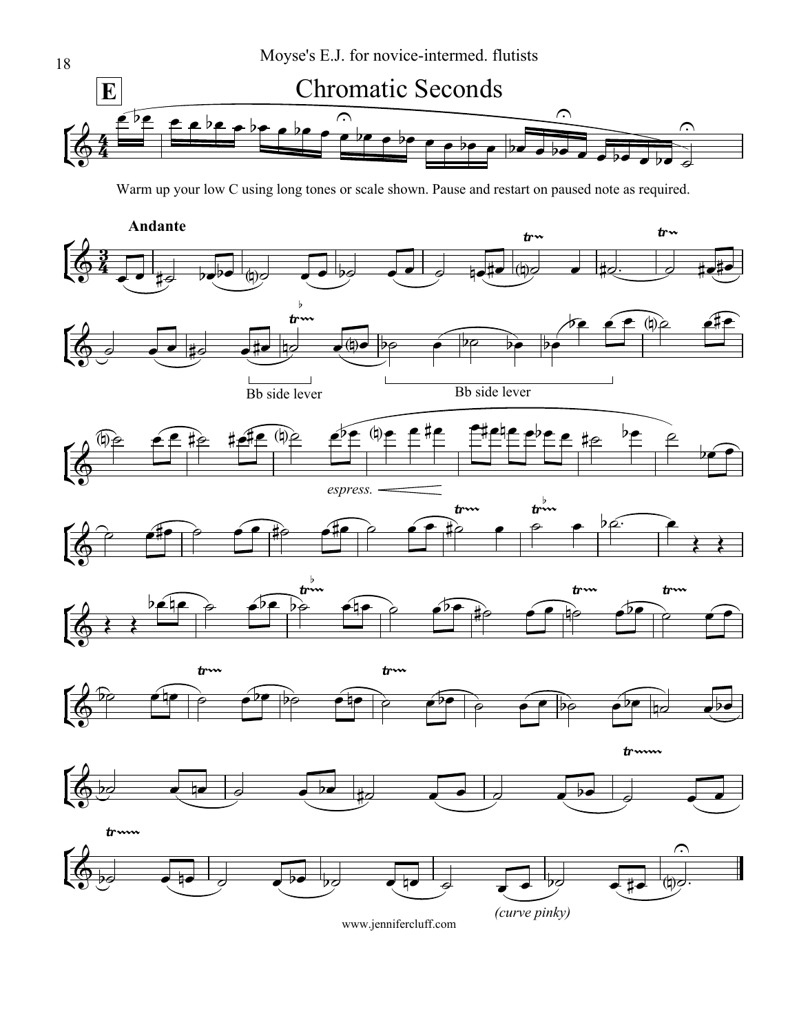

Warm up your low C using long tones or scale shown. Pause and restart on paused note as required.

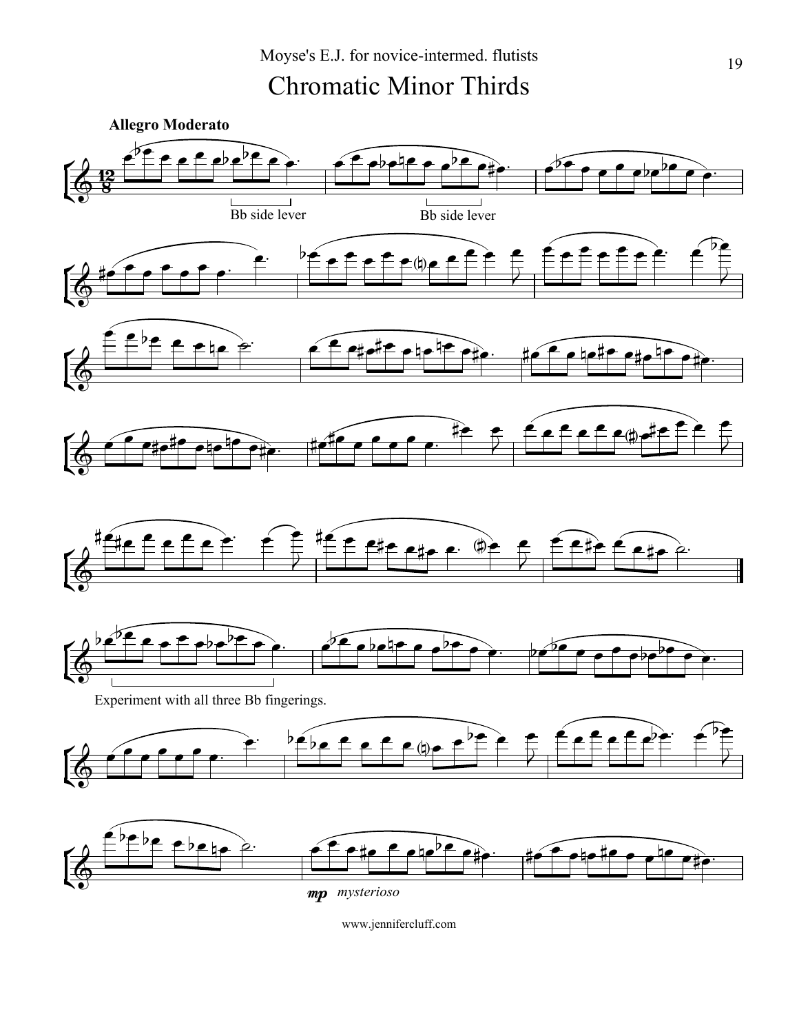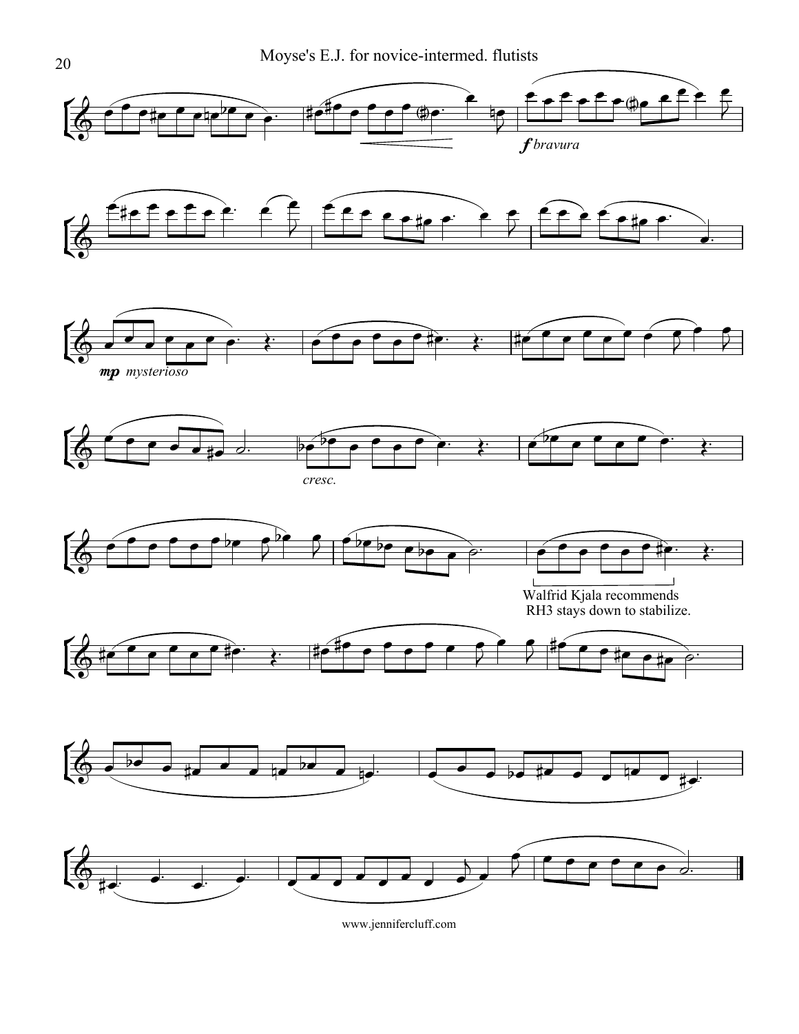